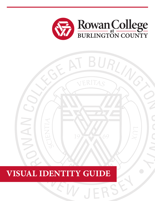

 $\overline{\mathcal{X}}$ 

SK **SE** 



W JER

# E **VISUAL IDENTITY GUIDE**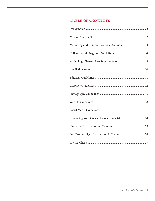# **Table of Contents**

| On-Campus Flyer Distribution & Cleanup  26 |
|--------------------------------------------|
|                                            |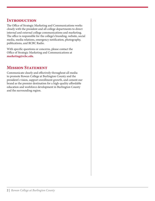# **Introduction**

The Office of Strategic Marketing and Communications works closely with the president and all college departments to direct internal and external college communications and marketing. The office is responsible for the college's branding, website, social media, media relations, emergency notifcation, photography, publications, and RCBC Radio.

With specifc questions or concerns, please contact the Office of Strategic Marketing and Communications at **[marketing@rcbc.edu](mailto:marketing@rcbc.edu)**.

# **MISSION STATEMENT**

Communicate clearly and efectively throughout all media to promote Rowan College at Burlington County and the president's vision, support enrollment growth, and cement our brand as the premier destination for a high-quality afordable education and workforce development in Burlington County and the surrounding region.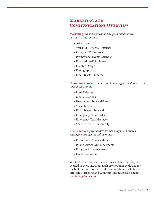#### **Marketing and Communications Overview**

**Marketing** *is a one-way channel to push out accurate, persuasive information.* 

- Advertising
- Websites Internal/External
- Campus TV Monitors
- Promotional Events Calendar
- Publications/Print Material
- Graphic Design
- Photography
- Email Blasts External

**Communications** *creates an emotional engagement and drives information points.* 

- Press Releases
- Media Relations
- Newsletter Internal/External
- Social Media
- Email Blasts Internal
- Emergency Phone Calls
- Emergency Text Messages
- Share with RU Community

**RCBC Radio** *engages audiences and reinforces branded messaging through the online radio.* 

- Promotional Sponsorships
- Public Service Announcements
- Program Announcements
- Event Promotion

While the channels listed above are available they may not be used in every situation. Each promotion is evaluated for the best method. For more information about the Office of Strategic Marketing and Communications, please contact **[marketing@rcbc.edu](mailto:marketing@rcbc.edu)**.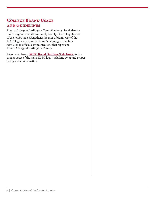# **College Brand Usage and Guidelines**

Rowan College at Burlington County's strong visual identity builds alignment and community loyalty. Correct application of the RCBC logo strengthens the RCBC brand. Use of the RCBC logo and any of the brand's defning elements is restricted to official communications that represent Rowan College at Burlington County.

Please refer to our **RCBC Brand One Page Style Guide** for the proper usage of the main RCBC logo, including color and proper typographic information.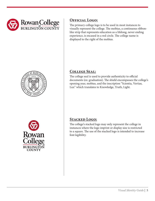





#### **Official Logo:**

The primary college logo is to be used in most instances to visually represent the college. The mobius, a continuous ribbonlike strip that represents education as a lifelong, never ending experience, is encased in a red circle. The college name is displayed to the right of the mobius.

## **College Seal:**

The college seal is used to provide authenticity to official documents (ex: graduation). The shield encompasses the college's opening year, mobius, and the inscription "Scientia, Vertias, Lux" which translates to Knowledge, Truth, Light.

# **Stacked Logo:**

The college's stacked logo may only represent the college in instances where the logo imprint or display size is restricted to a square. The use of the stacked logo is intended to increase font legibility.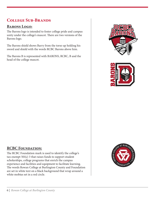# **College Sub-Brands**

#### **Barons Logo:**

The Barons logo is intended to foster college pride and campus unity under the college's mascot. There are two versions of the Barons logo.

The Barons shield shows Barry from the torso up holding his sword and shield with the words RCBC Barons above him.

The Barons B is represented with BARONS, RCBC, B and the head of the college mascot.





#### **RCBC Foundation:**

The RCBC Foundation mark is used to identify the college's tax-exempt 501(c) 3 that raises funds to support student scholarships, college programs that enrich the campus experience and facilities and equipment to facilitate learning. The words Rowan College at Burlington County and Foundation are set in white text on a black background that wrap around a white mobius set in a red circle.

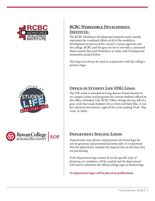





# **RCBC Workforce Development INSTITUTE :**

The RCBC Workforce Development Institute mark visually represents the combined eforts of all of the workforce development resources of the county's various agencies and the college. RCBC and the gear are set in red with a connected black wrench that read Workforce in white with Development Institution stacked below.

This logo is to always be used in conjunction with the college's primary logo.

#### **OFFICE OF STUDENT LIFE (OSL) LOGO:**

The OSL mark is intended to bring distinct brand identity to on-campus events and programs for current students ofered by the Office of Student Life. RCBC Office of hugs the top, left of a gray circle that reads Student L!fe in white and baby blue. A red bar intersects the bottom, right of the circle reading Work. Play. Lead. In white.

#### **Department Specific Logos**

Departments may obtain a department sub-brand logo for use on giveaway and promotional items only. It is important that the department consider the imprint size on the item they are purchasing.

If the department logo cannot ft on the specifc type of giveaway, no variations will be created and the department will need to substitute the official college logo or stacked logo.

*No department logos will be placed on publications.*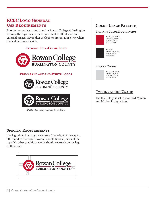# **RCBC Logo General Use Requirements**

In order to create a strong brand at Rowan College at Burlington County, the logo must remain consistent in all internal and external usages. Never alter the logo or present it in a way where the text becomes illegible.

#### **Primary Full-Color Logo**



#### **Primary Black-and-White Logos**



(*Displayed on background color for visibility.*)

#### **Spacing Requirements**

The logo should occupy a clear area. The height of the capital "R" found in the word "Rowan," should ft on all sides of the logo. No other graphic or words should encroach on the logo in this space.



## **Color Usage Palette**

#### **Primary Color Information**



**PANTONE 187**  CMYK: 22, 100, 89, 15 RGB: 171, 22, 43 HEX: AB162B



CMYK: 0, 0, 0, 100 RGB: 31, 35, 32 HEX: 000000

#### **Accent Color**



#### CMYK: 2, 0, 0, 18 RGB: 207, 212, 216

# **Typographic Usage**

The RCBC logo is set in modified Minion and Minion Pro typefaces.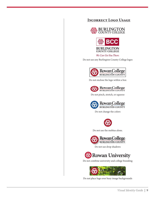#### **Incorrect Logo Usage**





We Can Get You There.

Do not use any Burlington County College logos



Do not enclose the logo within a box



Do not pinch, stretch, or squeeze



Do not change the colors



Do not use the mobius alone.



Do not use drop shadows



Do not combine university and college branding



Do not place logo over busy image backgrounds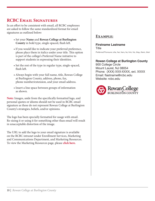# **RCBC Email Signatures**

In an efort to be consistent with email, all RCBC employees are asked to follow the same standardized format for email signatures as outlined below:

- Set your **Name** and **Rowan College at Burlington County** in bold type, single-spaced, fush lef.
- If you would like to indicate your preferred preference, please place them in italics under your title. This option is part of the college's Preferred Name initiative to support students in expressing their identities.
- Set the rest of the type in regular type, single-spaced, flush left.
- Always begin with your full name, title, Rowan College at Burlington County, address, phone, fax, phone number/extension, and your email address.
- Insert a line space between groups of information as shown.

**Note:** Images, aside from the specifcally formatted logo, and personal quotes or idioms should not be used in RCBC email signature as these do not represent Rowan College at Burlington County's strategies, beliefs, and/or opinions.

The logo has been specially formatted for usage with email. Re-sizing it or using it for something other than email will result in unacceptable distortion of the image.

The URL to add the logo to your email signature is available on the RCBC intranet under Enrollment Services, Marketing and Communications Department, and Marketing Resources. To view the Marketing Resources page, please **click here.** 

#### **Example:**

**Firstname Lastname**  Title *Preferred Pronouns: she, her, hers, he, him, his, they, them, their* 

**Rowan College at Burlington County** 900 College Circle Mount Laurel, NJ 08054 Phone: (XXX) XXX-XXXX, ext. XXXX Email: [flastname@rcbc.edu](mailto:flastname@rcbc.edu) Website: [rcbc.edu](https://rcbc.edu)

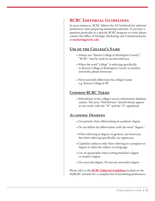#### **RCBC Editorial Guidelines**

In most instances, RCBC follows the AP Stylebook for editorial preferences when preparing marketing materials. If you have a question particular to a specifc RCBC program or event, please contact the Office of Strategic Marketing and Communications at **[marketing@rcbc.edu](mailto:marketing@rcbc.edu)**.

#### **Use of the College's Name**

- Always use "Rowan College at Burlington County"; "RCBC" may be used on second reference.
- When the word "college" is referring specifcally to Rowan College at Burlington County or another university, please lowercase.
- Never partially abbreviate the college's name e.g. Rowan College @ BC

#### **Common RCBC Terms**

• WebAdvisor is the college's secure information database system. The term "WebAdvisor" should always appear as one word, with the "W" and the "A" capitalized.

#### **Academic Degrees**

- Use periods when abbreviating an academic degree.
- Do not follow the abbreviation with the word "degree."
- When referring to degrees in general, use lowercase, but when referring specifcally, use uppercase.
- Capitalize subjects only when referring to a program or degree or when the subject is a language.
- Use an apostrophe when writing bachelor's degree or master's degree.
- Use associate degree. Do not use associate's degree

Please refer to the **RCBC Editorial Guidelines** located on the MyRCBC intranet for a complete list of formatting preferences.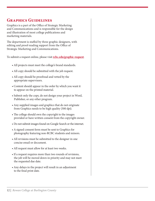# **Graphics Guidelines**

Graphics is a part of the Office of Strategic Marketing and Communications and is responsible for the design and illustration of most college publications and marketing materials.

The department is staffed by three graphic designers, with editing and proof-reading support from the Office of Strategic Marketing and Communications.

To submit a request online, please visit **[rcbc.edu/graphic-request](https://rcbc.edu/graphic-request)**.

- All projects must meet the college's brand standards.
- All copy should be submitted with the job request.
- All copy should be proofread and vetted by the appropriate supervisors.
- Content should appear in the order by which you want it to appear on the printed material.
- Submit only the copy, do not design your project in Word, Publisher, or any other program.
- Any supplied images and graphics that do not originate from Graphics needs to be high quality (300 dpi).
- The college should own the copyright to the images provided or have written consent from the copyright owner.
- Do not submit images found on Google Search or the internet.
- A signed consent form must be sent to Graphics for photography featuring non-RCBC students and minors.
- All revisions must be submitted to the designer in one concise email or document.
- All request must allow for at least two weeks.
- If a request requires more than two rounds of revisions, the job will be moved down in priority and may not meet the requested due date.
- Any delays in the project will result in an adjustment to the fnal print date.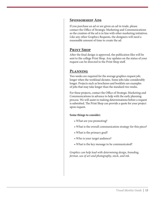#### **Sponsorship Ads**

If you purchase an ad or are given an ad in-trade, please contact the Office of Strategic Marketing and Communications so the creation of the ad is in line with other marketing initiatives. Like any other Graphics Requests, the designers will need a reasonable amount of time to create the ad.

#### **Print Shop**

Afer the fnal design is approved, the publication fles will be sent to the college Print Shop. Any updates on the status of your request can be directed to the Print Shop staf.

#### **Planning**

Two weeks are required for the average graphics request job; longer when the workload dictates. Some jobs take considerably longer. Projects such as brochures and booklets are examples of jobs that may take longer than the standard two weeks.

For these projects, contact the Office of Strategic Marketing and Communications in advance to help with the early planning process. We will assist in making determinations before a request is submitted. The Print Shop can provide a quote for your project upon request.

#### **Some things to consider:**

- What are you promoting?
- What is the overall communication strategy for this piece?
- What is the primary goal?
- Who is your target audience?
- What is the key message to be communicated?

*Graphics can help lead with determining design, branding, format, use of art and photography, stock, and ink.*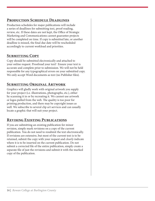#### **Production Schedule Deadlines**

Production schedules for major publications will include a series of deadlines for submitting text, proof-reading, review, etc. If these dates are not kept, the Office of Strategic Marketing and Communications cannot guarantee projects will be completed on time. If copy is submitted late, or another deadline is missed, the fnal due date will be rescheduled accordingly to current workload and priorities.

# **Submitting Copy**

Copy should be submitted electronically and attached to your online request. Proofread your text! Ensure your text is accurate and complete prior to submission. We will not be held responsible for any typographical errors on your submitted copy. We only accept Word documents as text (no Publisher fles).

# **Submitting Original Artwork**

Graphics will gladly work with original artwork you supply for your project (i.e. illustrations, photographs, etc.), either by scanning it in or by recreating it. We cannot use artwork or logos pulled from the web. The quality is too poor for printing production, and there may be copyright issues as well. We subscribe to several clip art services and can usually locate a graphic that will suit your project.

# **Revising Existing Publications**

If you are submitting an existing publication for minor revision, simply mark revisions on a copy of the current publication. You do not need to resubmit the text electronically. If revisions are extensive, but most of the current text is to be retained, submit the copy with your request and *clearly* indicate where it is to be inserted on the current publication. Do not submit a corrected fle of the entire publication, simply create a separate fle of just the revisions and submit it with the marked copy of the publication.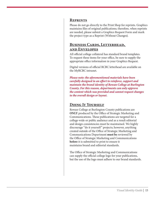#### **Reprints**

Please do not go directly to the Print Shop for reprints. Graphics maintains fles of original publications; therefore, when reprints are needed, please submit a Graphics Request Form and mark the project type as a Reprint (Without Changes).

#### **Business Cards, Letterhead, and Envelopes**

All official college collateral has standard brand templates. To request these items for your office, be sure to supply the appropriate office information in your Graphics Request.

Digital versions of official RCBC letterhead are available on the MyRCBC intranet.

*Please note: the aforementioned materials have been carefully designed in an efort to reinforce, support and maintain the brand identity of Rowan College at Burlington County. For this reason, departments can only approve the content which was provided and cannot request changes to the overall design or layout.* 

#### **Doing It Yourself**

Rowan College at Burlington County publications are **ONLY** produced by the Office of Strategic Marketing and Communications. These publications are targeted for a college-wide or public audience and as a result editorial and design consistencies must be maintained. We highly discourage "do it yourself" projects; however, anything created outside of the Office of Strategic Marketing and Communications Department **must be** reviewed by the Office of Strategic Marketing and Communications **before** it is submitted to print to ensure it maintains brand and editorial standards.

The Office of Strategic Marketing and Communications can supply the official college logo for your publications, but the use of the logo must adhere to our brand standards.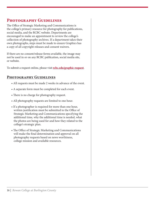# **Photography Guidelines**

The Office of Strategic Marketing and Communications is the college's primary resource for photography for publications, social media, and the RCBC website. Departments are encouraged to make an appointment to review the college's collection of photography archives. If a department takes their own photographs, steps must be made to ensure Graphics has a copy of all copyright releases and consent waivers.

If there are no consent/release forms available, the image may not be used in or on any RCBC publication, social media site, or website.

To submit a request online, please visit **[rcbc.edu/graphic-request](https://rcbc.edu/graphic-request)**.

#### **Photography Guidelines**

- All requests must be made 2 weeks in advance of the event.
- A separate form must be completed for each event.
- There is no charge for photography request.
- All photography requests are limited to one hour.
- If a photographer is required for more than one hour, written justification must be submitted to the Office of Strategic Marketing and Communications specifying the additional time, why the additional time is needed, what the photos are being used for and how they related to the college's strategic plan.
- The Office of Strategic Marketing and Communications will make the fnal determination and approval on all photography requests based on news worthiness, college mission and available resources.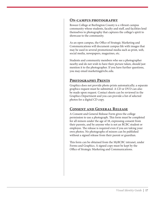#### **On-campus photography**

Rowan College at Burlington County is a vibrant campus community whose students, faculty and staf, and facilities lend themselves to photography that captures the college's spirit to showcase to the community.

As an open campus, the Office of Strategic Marketing and Communications will document campus life with images that may be used in several promotional media such as print, web, social media, newspapers, magazines, etc.

Students and community members who see a photographer nearby and do not wish to have their picture taken, should just mention it to the photographer. If you have further questions, you may email [marketing@rcbc.edu.](mailto:marketing@rcbc.edu)

#### **Photography Prints**

Graphics does not provide photo prints automatically; a separate graphics request must be submitted. A CD or DVD can also be made upon request. Contact sheets can be reviewed in the Graphics Department and you can provide a list of selected photos for a digital CD copy.

#### **Consent and General Release**

A Consent and General Release Form gives the college permission to use a photograph. This form must be completed for all minors under the age of 18, expressing consent from their parents, and by anyone who is not an RCBC student or employee. The release is required even if you are taking your own photos. No photographs of minors can be published without a signed release from their parent or guardian.

This form can be obtained from the MyRCBC intranet, under Forms and Graphics. A signed copy must be kept by the Office of Strategic Marketing and Communications.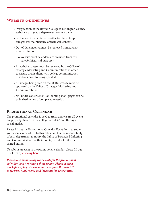# **Website Guidelines**

- Every section of the Rowan College at Burlington County website is assigned a department content owner.
- Each content owner is responsible for the upkeep and general maintenance of their web content.
- Out-of-date material must be removed immediately upon expiration.
	- o Website event calendars are excluded from this rule for historical purposes.
- All website content must be reviewed by the Office of Strategic Marketing and Communications in order to ensure that it aligns with college communication objectives prior to being updated.
- All images being used on the RCBC website must be approved by the Office of Strategic Marketing and Communications.
- No "under construction" or "coming soon" pages can be published in lieu of completed material.

#### **Promotional Calendar**

The promotional calendar is used to track and ensure all events are properly shared on the college website(s) and through social media.

Please fll out the Promotional Calendar Event Form to submit your events to be added to this calendar. It is the responsibility of each department to notify the Office of Strategic Marketing and Communications of their events, in order for it to be shared online.

To submit an event to the promotional calendar, please fll out this form by **clicking here.** 

*Please note: Submitting your events for the promotional calendar does not reserve those rooms. Please contact*  The Office of Logistics or submit a request through R25 *to reserve RCBC rooms and locations for your events.*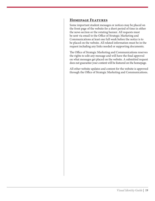#### **Homepage Features**

Some important student messages or notices may be placed on the front page of the website for a short period of time in either the news section or the rotating banner. All requests must be sent via email to the Office of Strategic Marketing and Communications at least one full week before the notice is to be placed on the website. All related information must be in the request including any links needed or supporting documents.

The Office of Strategic Marketing and Communications reserves the rights to edit any message and will have the fnal approval on what messages get placed on the website. A submitted request does not guarantee your content will be featured on the homepage.

All other website updates and content for the website is approved through the Office of Strategic Marketing and Communications.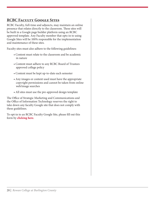# **RCBC Faculty Google Sites**

RCBC Faculty, full-time and adjuncts, may maintain an online presence that relates directly to the classroom. These sites will be built in a Google page builder platform using an RCBC approved template. Any Faculty member that opts-in to using Google Sites will be 100% responsible for the implementation and maintenance of these sites.

Faculty sites must also adhere to the following guidelines:

- Content must relate to the classroom and be academic in nature
- Content must adhere to any RCBC Board of Trustees approved college policy
- Content must be kept up-to-date each semester
- Any images or content used must have the appropriate copyright permissions and cannot be taken from online web/image searches
- All sites must use the pre-approved design template

The Office of Strategic Marketing and Communications and the Office of Information Technology reserves the right to take down any faculty Google site that does not comply with these guidelines.

To opt-in to an RCBC Faculty Google Site, please fll out this form by **clicking here.**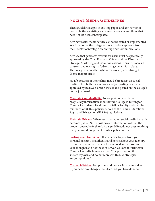#### **Social Media Guidelines**

These guidelines apply to existing pages, and any new ones created both on existing social media services and those that have not yet been contemplated.

Any new social media service cannot be tested or implemented as a function of the college without previous approval from the Director of Strategic Marketing and Communications.

Any site that generates revenue for users must be specifcally approved by the Chief Financial Officer and the Director of Strategic Marketing and Communications to ensure fnancial controls, and oversight of advertising content is in place. The college reserves the right to remove any advertising it deems inappropriate.

No job postings or internships may be broadcast on social media unless both the employer and job posting have been approved by RCBC's Career Services and posted on the college's online job board.

**Maintain Confidentiality:** Never post confidential or proprietary information about Rowan College at Burlington County, its students, its alumni, or fellow faculty and staf. Be reminded of RCBC's policies as well as the Family Educational Right and Privacy Act (FERPA) regulations.

**Maintain Privacy:** Whatever is posted on social media instantly becomes public. Never post private information without the proper consent beforehand. As a guideline, do not post anything that you would not present in ANY public forum.

**Posting as an Individual:** If you decide to post from your personal account, be authentic and honest about your identity. If you share your own beliefs, be sure to identify those are your thoughts and not those of Rowan College at Burlington County. Use a disclaimer such as: "The postings on this site are my own and do not represent RCBC's strategies and/or opinions."

**Correct Mistakes:** Be up front and quick with any mistakes. If you make any changes—be clear that you have done so.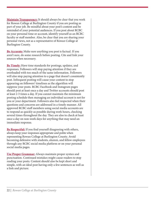**Maintain Transparency:** It should always be clear that you work for Rowan College at Burlington County if you are posting as part of your job. Be mindful about your post's content and be reminded of your potential audiences. If you post about RCBC on your personal time or account, identify yourself as an RCBC faculty or staff member. Also, be clear that you are sharing your personal views, not as a representative of Rowan College at Burlington County.

**Be Accurate:** Make sure anything you post is factual. If you aren't sure, do some research before posting. Cite and link your sources when necessary.

**Be Timely:** Have time standards for postings, updates, and responses. Followers will stop paying attention if they are overloaded with too much of the same information. Followers will also stop paying attention to a page that doesn't consistently post. Infrequent posting will cause your content to stop appearing on followers' timelines as the algorithm will suppress your posts. RCBC Facebook and Instagram pages should post at least once a day and Twitter accounts should post at least 2-3 times a day. If you cannot maintain the minimum posting schedule then managing an individual account is not for you or your department. Followers also feel respected when their questions and concerns are addressed in a timely manner. All approved RCBC staff members using social media accounts are to respond as quickly as possible during work hours, checking several times throughout the day. They are also to check at least once a day on non-work days for anything that may need an immediate response.

**Be Respectful:** If you find yourself disagreeing with others, always keep your responses appropriate and polite when representing Rowan College at Burlington County. Avoid becoming defensive with students, alumni, and fellow employees through any RCBC social media platform or on your personal social media pages.

**Use Proper Grammar:** Always maintain proper syntax and punctuation. Continued mistakes might cause readers to stop reading your posts. Content should also be kept short and simple, with an ideal post having only a few sentences as well as a link and picture.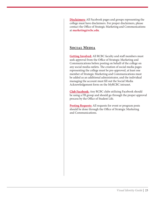contact the Office of Strategic Marketing and Communications **Disclaimers:** All Facebook pages and groups representing the college must have disclaimers. For proper disclaimers, please at **[marketing@rcbc.edu](mailto:marketing@rcbc.edu)**.

#### **Social Media**

Getting Involved: All RCBC faculty and staff members must seek approval from the Office of Strategic Marketing and Communications before posting on behalf of the college on any social media outlets. The creation of social media pages representing the college must be pre-approved, at least one member of Strategic Marketing and Communications must be added as an additional administrator, and the individual managing the account must fll out the Social Media Acknowledgement form on the MyRCBC intranet.

**Club Facebook:** Any RCBC clubs utilizing Facebook should be using a FB group and should go through the proper approval process by the Office of Student Life.

**Posting Requests:** All requests for event or program posts should be done through the Office of Strategic Marketing and Communications.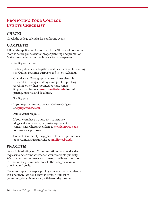# **Promoting Your College Events Checklist**

#### **CHECK!**

Check the college calendar for conficting events.

#### **COMPLETE!**

Fill out the application forms listed below. This should occur two months before your event for proper planning and promotion. Make sure you have funding in place for any expenses.

- Facility reservation
- Notify public safety, logistics, facilities via email for staffing scheduling, planning purposes and list on Calendar.
- Graphics and Photography request. Must give at least two weeks to complete, design and print. If printing anything other than mounted posters, contact Stephen Amitrano at **[samitrano@rcbc.edu](mailto:samitrano@rcbc.edu)** to confrm pricing, material and deadlines.
- Facility set up
- If you require catering, contact Colleen Quigley at **[cquigley@rcbc.edu](mailto:cquigley@rcbc.edu)**.
- Audio/visual requests
- If your event has an unusual circumstance (dogs, external groups, expensive equipment, etc.) consult with Chester Heinlein at **[cheinlein@rcbc.edu](mailto:cheinlein@rcbc.edu)**  for insurance purposes.
- Contact Community Engagement for cross-promotional opportunities: Megan Riffle at *mriffle@rcbc.edu*.

#### **PROMOTE!**

Strategic Marketing and Communications reviews all calendar requests to determine whether an event warrants publicity. We base decisions on news worthiness, timeliness in relation to other messages, and relevance to the college's mission, priorities and goals.

The most important step is placing your event on the calendar. If it's not there, we don't know it exists. A full list of communications channels is available on the intranet.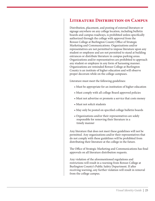#### **Literature Distribution on Campus**

Distribution, placement, and posting of external literature or signage anywhere on any college location, including bulletin boards and campus roadways, is prohibited unless specifcally authorized through the college with approval from the Rowan College at Burlington County Office of Strategic Marketing and Communications. Organizations and/or representatives are not permitted to impose literature upon any student or employee and are not permitted to stand at building entrances or distribute literature in campus parking areas. Organizations and/or representatives are prohibited to approach any student or employee in any form of harassing manner. Organizations are reminded Rowan College at Burlington County is an institute of higher education and will observe proper decorum while on the college campuses.

Literature must meet the following guidelines:

- Must be appropriate for an institution of higher education
- Must comply with all college Board approved policies
- Must not advertise or promote a service that costs money
- Must not solicit students
- May only be posted on specifed college bulletin boards
- Organizations and/or their representatives are solely responsible for removing their literature in a timely manner

Any literature that does not meet these guidelines will not be permitted. Any organizations and/or their representatives that do not comply with these guidelines will be prohibited from distributing their literature at the college in the future.

The Office of Strategic Marketing and Communications has final approvals on all literature distribution requests.

Any violation of the aforementioned regulations and restrictions will result in a warning from Rowan College at Burlington County's Public Safety Department. If after receiving warning, any further violation will result in removal from the college campus.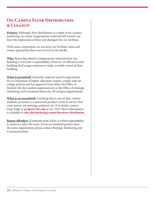# **ON-CAMPUS FLYER DISTRIBUTION & Cleanup**

**Premise:** Although, fyer distribution is a staple of on-campus marketing, too many inappropriate materials left around can leave the impression of litter and disregard for our facilities.

With some cooperation, we can keep our facilities clean and ensure appropriate flyers are not lost in the shuffle.

**Who:** Removing dated or inappropriate material from our building is everyone's responsibility, however, an official in each building shall assign someone to make a weekly round of their building.

**What is permitted?** Generally, material must be appropriate for an institution of higher education, timely, comply with all college policies and has approval from either the Office of Student Life (for student organizations) or the Office of Strategic Marketing and Communications for off-campus organizations.

**What is** *not* **permitted?** Anything that is out-of-date, solicits students, promotes a commercial product, event or service that costs money, job postings, political, etc. If in doubt, contact Greg Volpe at **[gvolpe@rcbc.edu](mailto:gvolpe@rcbc.edu)** or ext. 2514. More information is available at **[rcbc.edu/marketing-comm/literature-distribution](https://rcbc.edu/marketing-comm/literature-distribution).** 

**Repeat offenders:** If someone posts a flyer, it is their responsibility to remove it after the event. If you see outdated posters from the same organization, please contact Strategic Marketing and Communications.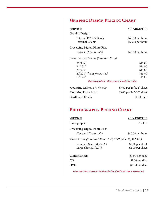# **Graphic Design Pricing Chart**

#### **SERVICE CHARGE/FEE**

**Graphic Design** 

| Internal RCBC Clients | $$40.00$ per hour |
|-----------------------|-------------------|
| External Clients      | $$60.00$ per hour |

#### **Processing Digital Photo Files**

| (Internal Clients only) | \$40.00 per hour |
|-------------------------|------------------|
|-------------------------|------------------|

#### **Large Format Posters** *(Standard Sizes)*

| $24^{\circ}x36^{\circ}$     | \$18.00 |
|-----------------------------|---------|
| $24^{\circ}x32^{\circ}$     | \$16.00 |
| 23''x33''                   | \$15.80 |
| 22"x28" (lucite frame size) | \$13.00 |
| 18"x24"                     | \$9.00  |
|                             |         |

*Other sizes available – please contact Graphics for pricing.* 

| Mounting Adhesive (twin tak) | \$5.00 per $18"x24"$ sheet |
|------------------------------|----------------------------|
| <b>Mounting Foam Board</b>   | \$3.00 per 24"x36" sheet   |
| <b>Cardboard Easels</b>      | \$1.00 each                |

# **Photography Pricing Chart**

| <b>SERVICE</b>                                                          | <b>CHARGE/FEE</b> |  |  |
|-------------------------------------------------------------------------|-------------------|--|--|
| Photographer                                                            | No Fee            |  |  |
| <b>Processing Digital Photo Files</b>                                   |                   |  |  |
| (Internal Clients only)                                                 | $$40.00$ per hour |  |  |
| Photo Prints (Standard Sizes $4"x6"$ , $5"x7"$ , $8"x10"$ , $11"x14"$ ) |                   |  |  |
| Standard Sheet (8.5"x11")                                               | $$1.00$ per sheet |  |  |
| Large Sheet $(11"x17")$                                                 | $$2.00$ per sheet |  |  |
| <b>Contact Sheets</b>                                                   | \$1.00 per page   |  |  |
| CD                                                                      | $$1.00$ per disc  |  |  |
| <b>DVD</b>                                                              | \$2.00 per disc   |  |  |
|                                                                         |                   |  |  |

*Please note: These prices are accurate to the date of publication and prices may vary.*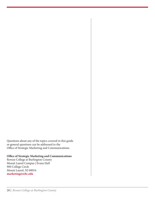Questions about any of the topics covered in this guide or general questions can be addressed to the Office of Strategic Marketing and Communications.

#### **Office of Strategic Marketing and Communications**

Rowan College at Burlington County Mount Laurel Campus | Evans Hall 900 College Circle Mount Laurel, NJ 08054 **[marketing@rcbc.edu](mailto:marketing@rcbc.edu)**